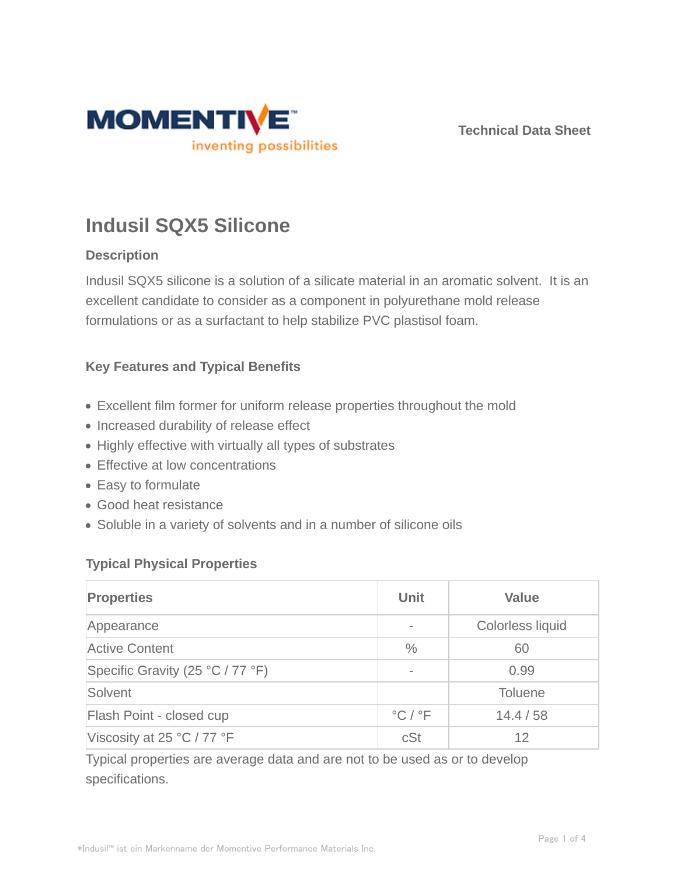

**Technical Data Sheet**

# **Indusil SQX5 Silicone**

# **Description**

Indusil SQX5 silicone is a solution of a silicate material in an aromatic solvent. It is an excellent candidate to consider as a component in polyurethane mold release formulations or as a surfactant to help stabilize PVC plastisol foam.

# **Key Features and Typical Benefits**

- Excellent film former for uniform release properties throughout the mold
- Increased durability of release effect
- Highly effective with virtually all types of substrates
- Effective at low concentrations
- Easy to formulate
- Good heat resistance
- Soluble in a variety of solvents and in a number of silicone oils

# **Typical Physical Properties**

| <b>Properties</b>                | Unit                                        | <b>Value</b>     |
|----------------------------------|---------------------------------------------|------------------|
| Appearance                       | $\overline{\phantom{0}}$                    | Colorless liquid |
| <b>Active Content</b>            | $\frac{0}{0}$                               | 60               |
| Specific Gravity (25 °C / 77 °F) | $\qquad \qquad \blacksquare$                | 0.99             |
| Solvent                          |                                             | <b>Toluene</b>   |
| Flash Point - closed cup         | $\mathrm{^{\circ}C}$ / $\mathrm{^{\circ}F}$ | 14.4 / 58        |
| Viscosity at 25 °C / 77 °F       | cSt                                         | 12               |

Typical properties are average data and are not to be used as or to develop specifications.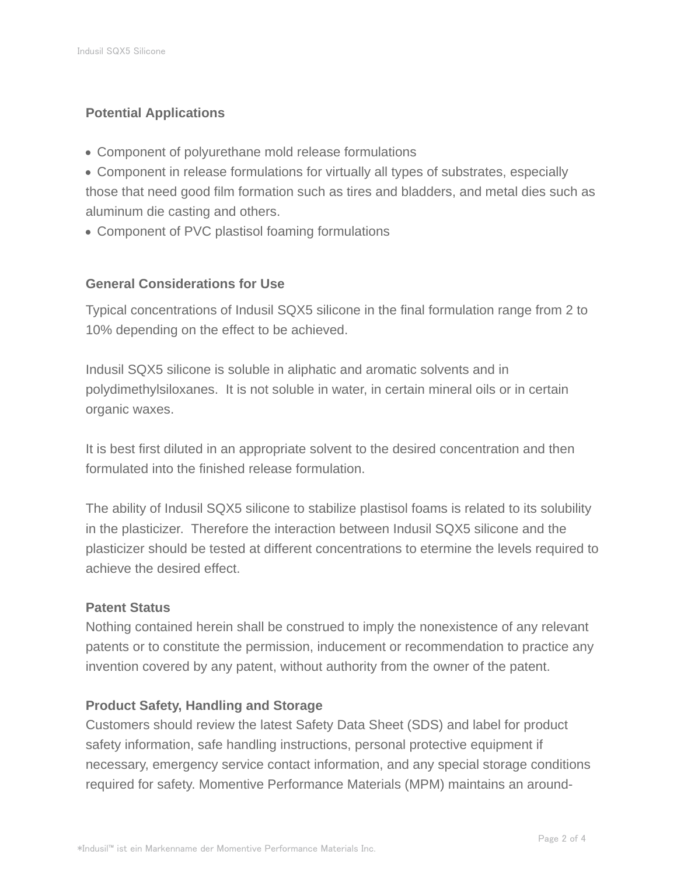# **Potential Applications**

- Component of polyurethane mold release formulations
- Component in release formulations for virtually all types of substrates, especially those that need good film formation such as tires and bladders, and metal dies such as aluminum die casting and others.
- Component of PVC plastisol foaming formulations

## **General Considerations for Use**

Typical concentrations of Indusil SQX5 silicone in the final formulation range from 2 to 10% depending on the effect to be achieved.

Indusil SQX5 silicone is soluble in aliphatic and aromatic solvents and in polydimethylsiloxanes. It is not soluble in water, in certain mineral oils or in certain organic waxes.

It is best first diluted in an appropriate solvent to the desired concentration and then formulated into the finished release formulation.

The ability of Indusil SQX5 silicone to stabilize plastisol foams is related to its solubility in the plasticizer. Therefore the interaction between Indusil SQX5 silicone and the plasticizer should be tested at different concentrations to etermine the levels required to achieve the desired effect.

#### **Patent Status**

Nothing contained herein shall be construed to imply the nonexistence of any relevant patents or to constitute the permission, inducement or recommendation to practice any invention covered by any patent, without authority from the owner of the patent.

## **Product Safety, Handling and Storage**

Customers should review the latest Safety Data Sheet (SDS) and label for product safety information, safe handling instructions, personal protective equipment if necessary, emergency service contact information, and any special storage conditions required for safety. Momentive Performance Materials (MPM) maintains an around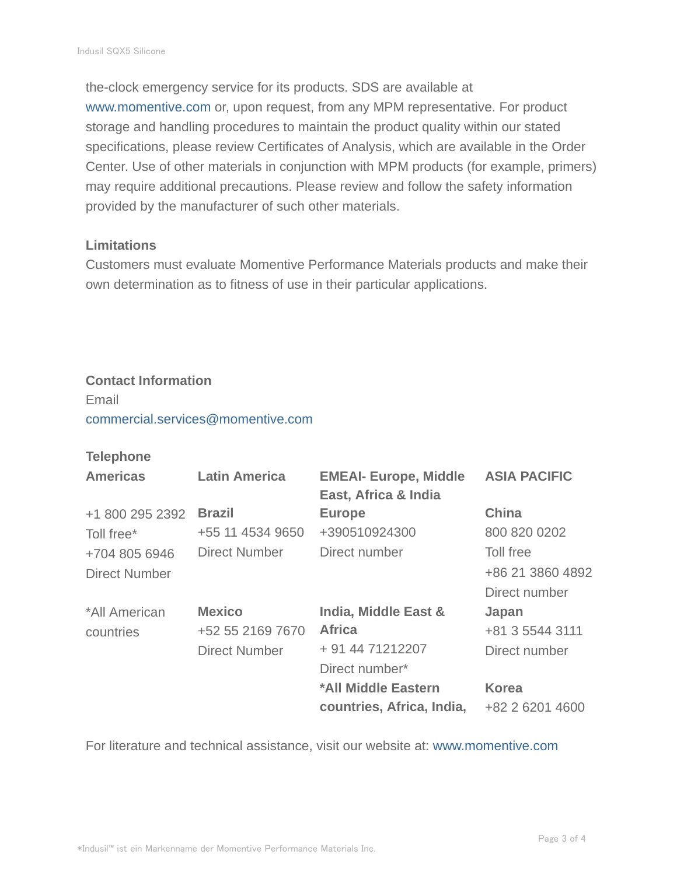the-clock emergency service for its products. SDS are available at www.momentive.com or, upon request, from any MPM representative. For product storage and handling procedures to maintain the product quality within our stated specifications, please review Certificates of Analysis, which are available in the Order Center. Use of other materials in conjunction with MPM products (for example, primers) may require additional precautions. Please review and follow the safety information provided by the manufacturer of such other materials.

### **Limitations**

Customers must evaluate Momentive Performance Materials products and make their own determination as to fitness of use in their particular applications.

#### **Contact Information**

Email commercial.services@momentive.com

## **Telephone**

| <b>Americas</b>      | <b>Latin America</b> | <b>EMEAI- Europe, Middle</b><br>East, Africa & India | <b>ASIA PACIFIC</b> |
|----------------------|----------------------|------------------------------------------------------|---------------------|
| +1 800 295 2392      | <b>Brazil</b>        | <b>Europe</b>                                        | <b>China</b>        |
| Toll free*           | +55 11 4534 9650     | +390510924300                                        | 800 820 0202        |
| +704 805 6946        | <b>Direct Number</b> | Direct number                                        | Toll free           |
| <b>Direct Number</b> |                      |                                                      | +86 21 3860 4892    |
|                      |                      |                                                      | Direct number       |
| *All American        | <b>Mexico</b>        | India, Middle East &                                 | Japan               |
| countries            | +52 55 2169 7670     | <b>Africa</b>                                        | +81 3 5544 3111     |
|                      | <b>Direct Number</b> | + 91 44 71212207                                     | Direct number       |
|                      |                      | Direct number*                                       |                     |
|                      |                      | *All Middle Eastern                                  | <b>Korea</b>        |
|                      |                      | countries, Africa, India,                            | +82 2 6201 4600     |

For literature and technical assistance, visit our website at: www.momentive.com